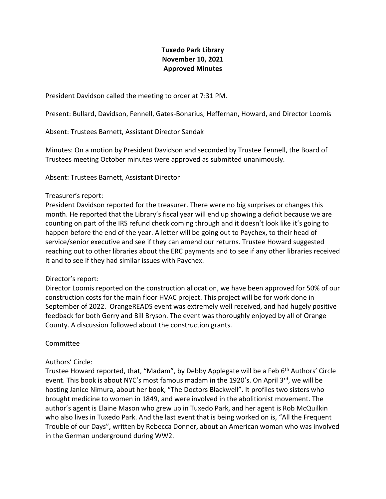# **Tuxedo Park Library November 10, 2021 Approved Minutes**

President Davidson called the meeting to order at 7:31 PM.

Present: Bullard, Davidson, Fennell, Gates-Bonarius, Heffernan, Howard, and Director Loomis

Absent: Trustees Barnett, Assistant Director Sandak

Minutes: On a motion by President Davidson and seconded by Trustee Fennell, the Board of Trustees meeting October minutes were approved as submitted unanimously.

Absent: Trustees Barnett, Assistant Director

### Treasurer's report:

President Davidson reported for the treasurer. There were no big surprises or changes this month. He reported that the Library's fiscal year will end up showing a deficit because we are counting on part of the IRS refund check coming through and it doesn't look like it's going to happen before the end of the year. A letter will be going out to Paychex, to their head of service/senior executive and see if they can amend our returns. Trustee Howard suggested reaching out to other libraries about the ERC payments and to see if any other libraries received it and to see if they had similar issues with Paychex.

#### Director's report:

Director Loomis reported on the construction allocation, we have been approved for 50% of our construction costs for the main floor HVAC project. This project will be for work done in September of 2022. OrangeREADS event was extremely well received, and had hugely positive feedback for both Gerry and Bill Bryson. The event was thoroughly enjoyed by all of Orange County. A discussion followed about the construction grants.

# Committee

# Authors' Circle:

Trustee Howard reported, that, "Madam", by Debby Applegate will be a Feb 6<sup>th</sup> Authors' Circle event. This book is about NYC's most famous madam in the 1920's. On April  $3^{rd}$ , we will be hosting Janice Nimura, about her book, "The Doctors Blackwell". It profiles two sisters who brought medicine to women in 1849, and were involved in the abolitionist movement. The author's agent is Elaine Mason who grew up in Tuxedo Park, and her agent is Rob McQuilkin who also lives in Tuxedo Park. And the last event that is being worked on is, "All the Frequent Trouble of our Days", written by Rebecca Donner, about an American woman who was involved in the German underground during WW2.